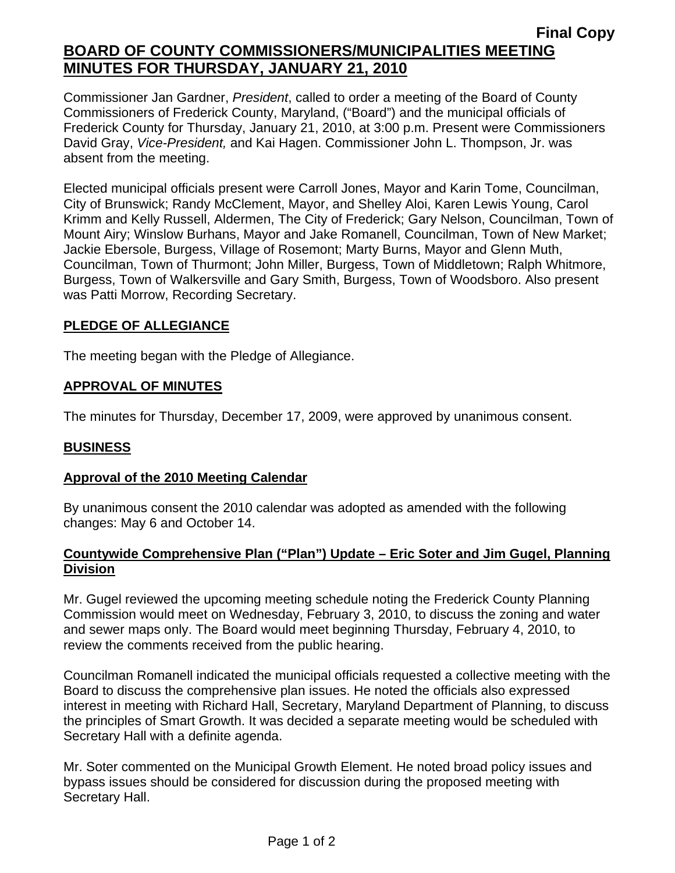## **Final Copy BOARD OF COUNTY COMMISSIONERS/MUNICIPALITIES MEETING MINUTES FOR THURSDAY, JANUARY 21, 2010**

Commissioner Jan Gardner, *President*, called to order a meeting of the Board of County Commissioners of Frederick County, Maryland, ("Board") and the municipal officials of Frederick County for Thursday, January 21, 2010, at 3:00 p.m. Present were Commissioners David Gray, *Vice-President,* and Kai Hagen. Commissioner John L. Thompson, Jr. was absent from the meeting.

Elected municipal officials present were Carroll Jones, Mayor and Karin Tome, Councilman, City of Brunswick; Randy McClement, Mayor, and Shelley Aloi, Karen Lewis Young, Carol Krimm and Kelly Russell, Aldermen, The City of Frederick; Gary Nelson, Councilman, Town of Mount Airy; Winslow Burhans, Mayor and Jake Romanell, Councilman, Town of New Market; Jackie Ebersole, Burgess, Village of Rosemont; Marty Burns, Mayor and Glenn Muth, Councilman, Town of Thurmont; John Miller, Burgess, Town of Middletown; Ralph Whitmore, Burgess, Town of Walkersville and Gary Smith, Burgess, Town of Woodsboro. Also present was Patti Morrow, Recording Secretary.

## **PLEDGE OF ALLEGIANCE**

The meeting began with the Pledge of Allegiance.

## **APPROVAL OF MINUTES**

The minutes for Thursday, December 17, 2009, were approved by unanimous consent.

### **BUSINESS**

### **Approval of the 2010 Meeting Calendar**

By unanimous consent the 2010 calendar was adopted as amended with the following changes: May 6 and October 14.

### **Countywide Comprehensive Plan ("Plan") Update – Eric Soter and Jim Gugel, Planning Division**

Mr. Gugel reviewed the upcoming meeting schedule noting the Frederick County Planning Commission would meet on Wednesday, February 3, 2010, to discuss the zoning and water and sewer maps only. The Board would meet beginning Thursday, February 4, 2010, to review the comments received from the public hearing.

Councilman Romanell indicated the municipal officials requested a collective meeting with the Board to discuss the comprehensive plan issues. He noted the officials also expressed interest in meeting with Richard Hall, Secretary, Maryland Department of Planning, to discuss the principles of Smart Growth. It was decided a separate meeting would be scheduled with Secretary Hall with a definite agenda.

Mr. Soter commented on the Municipal Growth Element. He noted broad policy issues and bypass issues should be considered for discussion during the proposed meeting with Secretary Hall.